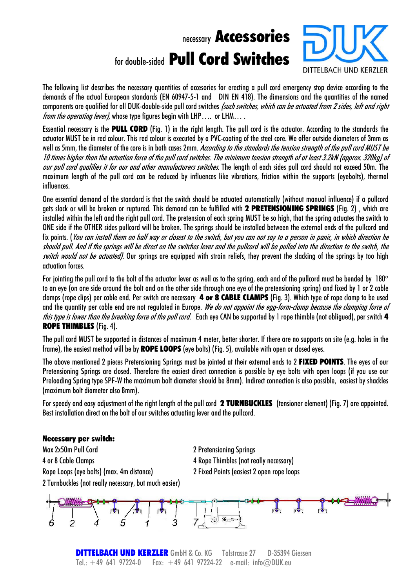# necessary Accessories fordouble-sided Pull Cord Switches



The following list describes the necessary quantities of accesories for erecting a pull cord emergency stop device according to the demands of the actual European standards (EN 60947-5-1 and DIN EN 418). The dimensions and the quantities of the named components are qualified for all DUK-double-side pull cord switches *(such switches, which can be actuated from 2 sides, left and right from the operating lever),* whose type figures begin with LHP.... or LHM....

Essential necessary is the **PULL CORD** (Fig. 1) in the right length. The pull cord is the actuator. According to the standards the actuator MUST be in red colour. This red colour is executed by a PVC-coating of the steel core. We offer outside diameters of 3mm as well as 5mm, the diameter of the core is in both cases 2mm. According to the standards the tension strength of the pull cord MUST be 10 times higher than the actuation force of the pull cord switches. The minimum tension strength of at least 3.2kN (approx. 320kg) of our pull cord qualifies it for our and other manufacturers switches. The length of each sides pull cord should not exceed 50m. The maximum length of the pull cord can be reduced by influences like vibrations, friction within the supports (eyebolts), thermal influences.

One essential demand of the standard is that the switch should be actuated automatically (without manual influence) if a pullcord gets slack or will be broken or ruptured. This demand can be fulfilled with 2 PRETENSIONING SPRINGS (Fig. 2) , which are installed within the left and the right pull cord. The pretension of each spring MUST be so high, that the spring actuates the switch to ONE side if the OTHER sides pullcord will be broken. The springs should be installed between the external ends of the pullcord and fix points. (You can install them on half way or closest to the switch, but you can not say to a person in panic, in which direction he should pull. And if the springs will be direct on the switches lever and the pullcord will be pulled into the direction to the switch, the switch would not be actuated). Our springs are equipped with strain reliefs, they prevent the slacking of the springs by too high actuation forces.

For jointing the pull cord to the bolt of the actuator lever as well as to the spring, each end of the pullcord must be bended by 180° to an eye (on one side around the bolt and on the other side through one eye of the pretensioning spring) and fixed by 1 or 2 cable clamps (rope clips) per cable end. Per switch are necessary 4 or 8 CABLE CLAMPS (Fig. 3). Which type of rope clamp to be used and the quantity per cable end are not regulated in Europe. We do not appoint the egg-form-clamp because the clamping force of this type is lower than the breaking force of the pull cord. Each eye CAN be supported by 1 rope thimble (not obligued), per switch 4 ROPE THIMBLES (Fig. 4).

The pull cord MUST be supported in distances of maximum 4 meter, better shorter. If there are no supports on site (e.g. holes in the frame), the easiest method will be by **ROPE LOOPS** (eye bolts) (Fig. 5), available with open or closed eyes.

The above mentioned 2 pieces Pretensioning Springs must be jointed at their external ends to 2 FIXED POINTS. The eyes of our Pretensioning Springs are closed. Therefore the easiest direct connection is possible by eye bolts with open loops (if you use our Preloading Spring type SPF-W the maximum bolt diameter should be 8mm). Indirect connection is also possible, easiest by shackles (maximum bolt diameter also 8mm).

For speedy and easy adjustment of the right length of the pull cord  $2$  TURNBUCKLES (tensioner element) (Fig. 7) are appointed. Best installation direct on the bolt of our switches actuating lever and the pullcord.

### Necessary per switch:

Max 2x50m Pull Cord 2 Pretensioning Springs 4 or 8 Cable Clamps 4 Rope Thimbles (not really necessary) Rope Loops (eye bolts) (max. 4m distance) 2 Fixed Points (easiest 2 openrope loops 2 Turnbuckles (not really necessary, but much easier)



**DITTELBACH UND KERZLER** GmbH & Co. KG Talstrasse 27 D-35394 Giessen Tel.:  $+49$  641 97224-0 Fax:  $+49$  641 97224-22 e-mail: info@DUK.eu